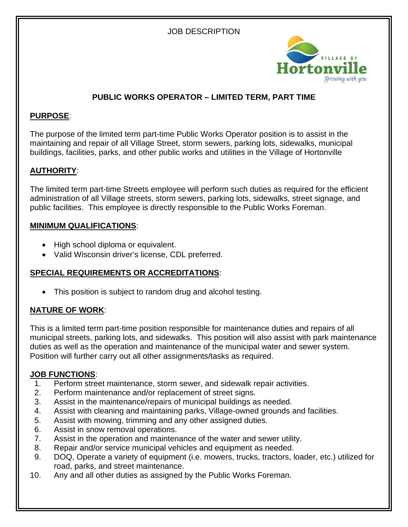# JOB DESCRIPTION



# **PUBLIC WORKS OPERATOR – LIMITED TERM, PART TIME**

# **PURPOSE**:

The purpose of the limited term part-time Public Works Operator position is to assist in the maintaining and repair of all Village Street, storm sewers, parking lots, sidewalks, municipal buildings, facilities, parks, and other public works and utilities in the Village of Hortonville

# **AUTHORITY**:

The limited term part-time Streets employee will perform such duties as required for the efficient administration of all Village streets, storm sewers, parking lots, sidewalks, street signage, and public facilities. This employee is directly responsible to the Public Works Foreman.

### **MINIMUM QUALIFICATIONS**:

- High school diploma or equivalent.
- Valid Wisconsin driver's license, CDL preferred.

### **SPECIAL REQUIREMENTS OR ACCREDITATIONS**:

This position is subject to random drug and alcohol testing.

# **NATURE OF WORK**:

This is a limited term part-time position responsible for maintenance duties and repairs of all municipal streets, parking lots, and sidewalks. This position will also assist with park maintenance duties as well as the operation and maintenance of the municipal water and sewer system. Position will further carry out all other assignments/tasks as required.

### **JOB FUNCTIONS**:

- 1. Perform street maintenance, storm sewer, and sidewalk repair activities.
- 2. Perform maintenance and/or replacement of street signs.
- 3. Assist in the maintenance/repairs of municipal buildings as needed.
- 4. Assist with cleaning and maintaining parks, Village-owned grounds and facilities.
- 5. Assist with mowing, trimming and any other assigned duties.
- 6. Assist in snow removal operations.
- 7. Assist in the operation and maintenance of the water and sewer utility.
- 8. Repair and/or service municipal vehicles and equipment as needed.
- 9. DOQ, Operate a variety of equipment (i.e. mowers, trucks, tractors, loader, etc.) utilized for road, parks, and street maintenance.
- 10. Any and all other duties as assigned by the Public Works Foreman.